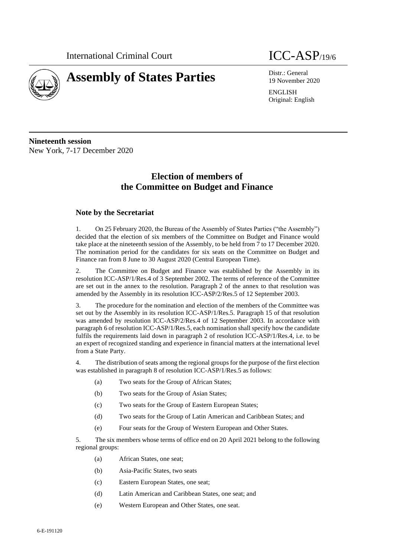

# **Assembly of States Parties** Distr.: General

19 November 2020

ENGLISH Original: English

**Nineteenth session** New York, 7-17 December 2020

# **Election of members of the Committee on Budget and Finance**

# **Note by the Secretariat**

1. On 25 February 2020, the Bureau of the Assembly of States Parties ("the Assembly") decided that the election of six members of the Committee on Budget and Finance would take place at the nineteenth session of the Assembly, to be held from 7 to 17 December 2020. The nomination period for the candidates for six seats on the Committee on Budget and Finance ran from 8 June to 30 August 2020 (Central European Time).

2. The Committee on Budget and Finance was established by the Assembly in its resolution ICC-ASP/1/Res.4 of 3 September 2002. The terms of reference of the Committee are set out in the annex to the resolution. Paragraph 2 of the annex to that resolution was amended by the Assembly in its resolution ICC-ASP/2/Res.5 of 12 September 2003.

3. The procedure for the nomination and election of the members of the Committee was set out by the Assembly in its resolution ICC-ASP/1/Res.5. Paragraph 15 of that resolution was amended by resolution ICC-ASP/2/Res.4 of 12 September 2003. In accordance with paragraph 6 of resolution ICC-ASP/1/Res.5, each nomination shall specify how the candidate fulfils the requirements laid down in paragraph 2 of resolution ICC-ASP/1/Res.4, i.e. to be an expert of recognized standing and experience in financial matters at the international level from a State Party.

4. The distribution of seats among the regional groups for the purpose of the first election was established in paragraph 8 of resolution ICC-ASP/1/Res.5 as follows:

- (a) Two seats for the Group of African States;
- (b) Two seats for the Group of Asian States;
- (c) Two seats for the Group of Eastern European States;
- (d) Two seats for the Group of Latin American and Caribbean States; and
- (e) Four seats for the Group of Western European and Other States.

5. The six members whose terms of office end on 20 April 2021 belong to the following regional groups:

- (a) African States, one seat;
- (b) Asia-Pacific States, two seats
- (c) Eastern European States, one seat;
- (d) Latin American and Caribbean States, one seat; and
- (e) Western European and Other States, one seat.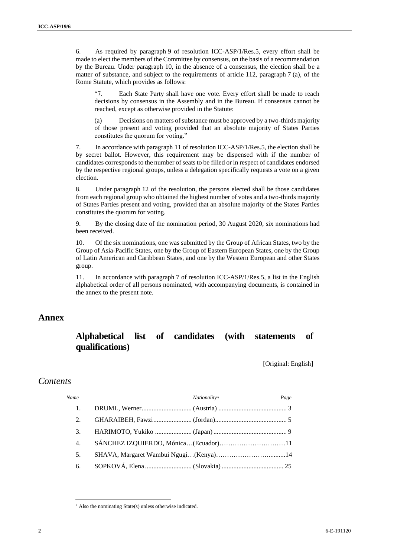6. As required by paragraph 9 of resolution ICC-ASP/1/Res.5, every effort shall be made to elect the members of the Committee by consensus, on the basis of a recommendation by the Bureau. Under paragraph 10, in the absence of a consensus, the election shall be a matter of substance, and subject to the requirements of article 112, paragraph 7 (a), of the Rome Statute, which provides as follows:

"7. Each State Party shall have one vote. Every effort shall be made to reach decisions by consensus in the Assembly and in the Bureau. If consensus cannot be reached, except as otherwise provided in the Statute:

(a) Decisions on matters of substance must be approved by a two-thirds majority of those present and voting provided that an absolute majority of States Parties constitutes the quorum for voting."

7. In accordance with paragraph 11 of resolution ICC-ASP/1/Res.5, the election shall be by secret ballot. However, this requirement may be dispensed with if the number of candidates corresponds to the number of seats to be filled or in respect of candidates endorsed by the respective regional groups, unless a delegation specifically requests a vote on a given election.

8. Under paragraph 12 of the resolution, the persons elected shall be those candidates from each regional group who obtained the highest number of votes and a two-thirds majority of States Parties present and voting, provided that an absolute majority of the States Parties constitutes the quorum for voting.

9. By the closing date of the nomination period, 30 August 2020, six nominations had been received.

10. Of the six nominations, one was submitted by the Group of African States, two by the Group of Asia-Pacific States, one by the Group of Eastern European States, one by the Group of Latin American and Caribbean States, and one by the Western European and other States group.

11. In accordance with paragraph 7 of resolution ICC-ASP/1/Res.5, a list in the English alphabetical order of all persons nominated, with accompanying documents, is contained in the annex to the present note.

# **Annex**

# **Alphabetical list of candidates (with statements of qualifications)**

[Original: English]

# *Contents*

| Name | Nationality*                         | Page |
|------|--------------------------------------|------|
|      |                                      |      |
| 2.   |                                      |      |
| 3.   |                                      |      |
| 4.   | SÁNCHEZ IZQUIERDO, Mónica(Ecuador)11 |      |
| 5.   |                                      |      |
| 6.   |                                      |      |

Also the nominating State(s) unless otherwise indicated.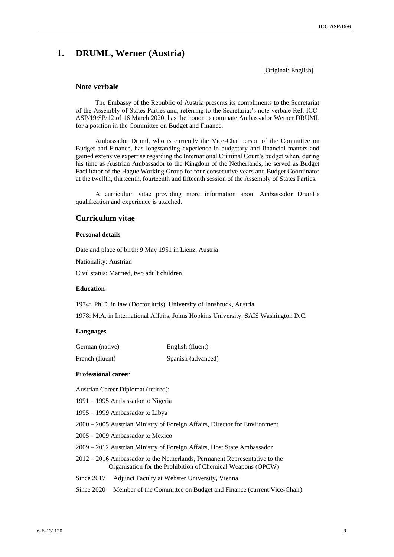# **1. DRUML, Werner (Austria)**

[Original: English]

# **Note verbale**

The Embassy of the Republic of Austria presents its compliments to the Secretariat of the Assembly of States Parties and, referring to the Secretariat's note verbale Ref. ICC-ASP/19/SP/12 of 16 March 2020, has the honor to nominate Ambassador Werner DRUML for a position in the Committee on Budget and Finance.

Ambassador Druml, who is currently the Vice-Chairperson of the Committee on Budget and Finance, has longstanding experience in budgetary and financial matters and gained extensive expertise regarding the International Criminal Court's budget when, during his time as Austrian Ambassador to the Kingdom of the Netherlands, he served as Budget Facilitator of the Hague Working Group for four consecutive years and Budget Coordinator at the twelfth, thirteenth, fourteenth and fifteenth session of the Assembly of States Parties.

A curriculum vitae providing more information about Ambassador Druml's qualification and experience is attached.

# **Curriculum vitae**

### **Personal details**

Date and place of birth: 9 May 1951 in Lienz, Austria

Nationality: Austrian

Civil status: Married, two adult children

# **Education**

1974: Ph.D. in law (Doctor iuris), University of Innsbruck, Austria

1978: M.A. in International Affairs, Johns Hopkins University, SAIS Washington D.C.

#### **Languages**

| German (native) | English (fluent)   |
|-----------------|--------------------|
| French (fluent) | Spanish (advanced) |

#### **Professional career**

Austrian Career Diplomat (retired):

- 1991 1995 Ambassador to Nigeria
- 1995 1999 Ambassador to Libya
- 2000 2005 Austrian Ministry of Foreign Affairs, Director for Environment
- 2005 2009 Ambassador to Mexico
- 2009 2012 Austrian Ministry of Foreign Affairs, Host State Ambassador
- 2012 2016 Ambassador to the Netherlands, Permanent Representative to the Organisation for the Prohibition of Chemical Weapons (OPCW)
- Since 2017 Adjunct Faculty at Webster University, Vienna
- Since 2020 Member of the Committee on Budget and Finance (current Vice-Chair)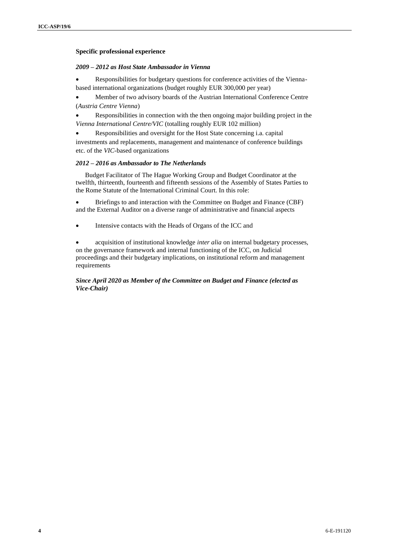# **Specific professional experience**

#### *2009 – 2012 as Host State Ambassador in Vienna*

Responsibilities for budgetary questions for conference activities of the Viennabased international organizations (budget roughly EUR 300,000 per year)

• Member of two advisory boards of the Austrian International Conference Centre (*Austria Centre Vienna*)

• Responsibilities in connection with the then ongoing major building project in the *Vienna International Centre/VIC* (totalling roughly EUR 102 million)

• Responsibilities and oversight for the Host State concerning i.a. capital investments and replacements, management and maintenance of conference buildings etc. of the *VIC*-based organizations

# *2012 – 2016 as Ambassador to The Netherlands*

Budget Facilitator of The Hague Working Group and Budget Coordinator at the twelfth, thirteenth, fourteenth and fifteenth sessions of the Assembly of States Parties to the Rome Statute of the International Criminal Court. In this role:

• Briefings to and interaction with the Committee on Budget and Finance (CBF) and the External Auditor on a diverse range of administrative and financial aspects

• Intensive contacts with the Heads of Organs of the ICC and

• acquisition of institutional knowledge *inter alia* on internal budgetary processes, on the governance framework and internal functioning of the ICC, on Judicial proceedings and their budgetary implications, on institutional reform and management requirements

# *Since April 2020 as Member of the Committee on Budget and Finance (elected as Vice-Chair)*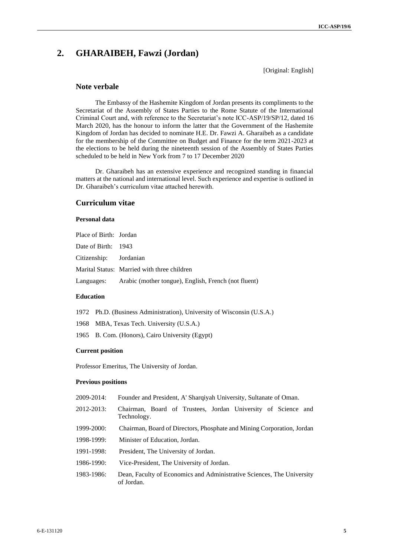# **2. GHARAIBEH, Fawzi (Jordan)**

[Original: English]

# **Note verbale**

The Embassy of the Hashemite Kingdom of Jordan presents its compliments to the Secretariat of the Assembly of States Parties to the Rome Statute of the International Criminal Court and, with reference to the Secretariat's note ICC-ASP/19/SP/12, dated 16 March 2020, has the honour to inform the latter that the Government of the Hashemite Kingdom of Jordan has decided to nominate H.E. Dr. Fawzi A. Gharaibeh as a candidate for the membership of the Committee on Budget and Finance for the term 2021-2023 at the elections to be held during the nineteenth session of the Assembly of States Parties scheduled to be held in New York from 7 to 17 December 2020

Dr. Gharaibeh has an extensive experience and recognized standing in financial matters at the national and international level. Such experience and expertise is outlined in Dr. Gharaibeh's curriculum vitae attached herewith.

# **Curriculum vitae**

#### **Personal data**

| Place of Birth: Jordan |                                                                 |
|------------------------|-----------------------------------------------------------------|
| Date of Birth: 1943    |                                                                 |
| Citizenship: Jordanian |                                                                 |
|                        | Marital Status: Married with three children                     |
|                        | Languages: Arabic (mother tongue), English, French (not fluent) |

#### **Education**

- 1972 Ph.D. (Business Administration), University of Wisconsin (U.S.A.)
- 1968 MBA, Texas Tech. University (U.S.A.)
- 1965 B. Com. (Honors), Cairo University (Egypt)

# **Current position**

Professor Emeritus, The University of Jordan.

#### **Previous positions**

- 2009-2014: Founder and President, A' Sharqiyah University, Sultanate of Oman.
- 2012-2013: Chairman, Board of Trustees, Jordan University of Science and Technology.
- 1999-2000: Chairman, Board of Directors, Phosphate and Mining Corporation, Jordan
- 1998-1999: Minister of Education, Jordan.
- 1991-1998: President, The University of Jordan.
- 1986-1990: Vice-President, The University of Jordan.
- 1983-1986: Dean, Faculty of Economics and Administrative Sciences, The University of Jordan.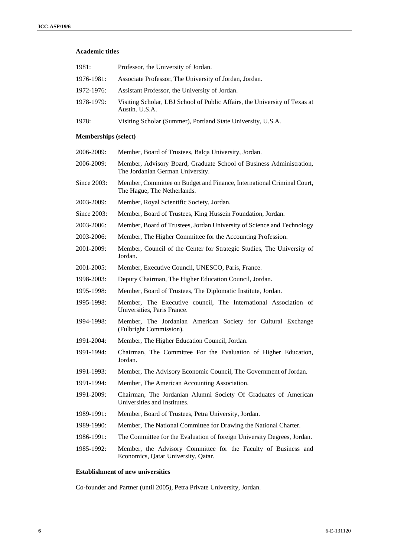#### **Academic titles**

| 1981:                       | Professor, the University of Jordan.                                                                    |
|-----------------------------|---------------------------------------------------------------------------------------------------------|
| 1976-1981:                  | Associate Professor, The University of Jordan, Jordan.                                                  |
| 1972-1976:                  | Assistant Professor, the University of Jordan.                                                          |
| 1978-1979:                  | Visiting Scholar, LBJ School of Public Affairs, the University of Texas at<br>Austin. U.S.A.            |
| 1978:                       | Visiting Scholar (Summer), Portland State University, U.S.A.                                            |
| <b>Memberships (select)</b> |                                                                                                         |
| 2006-2009:                  | Member, Board of Trustees, Balqa University, Jordan.                                                    |
| 2006-2009:                  | Member, Advisory Board, Graduate School of Business Administration,<br>The Jordanian German University. |
| Since 2003:                 | Member, Committee on Budget and Finance, International Criminal Court,<br>The Hague, The Netherlands.   |
| 2003-2009:                  | Member, Royal Scientific Society, Jordan.                                                               |
| Since 2003:                 | Member, Board of Trustees, King Hussein Foundation, Jordan.                                             |
| 2003-2006:                  | Member, Board of Trustees, Jordan University of Science and Technology                                  |
| 2003-2006:                  | Member, The Higher Committee for the Accounting Profession.                                             |
| 2001-2009:                  | Member, Council of the Center for Strategic Studies, The University of<br>Jordan.                       |
| 2001-2005:                  | Member, Executive Council, UNESCO, Paris, France.                                                       |
| 1998-2003:                  | Deputy Chairman, The Higher Education Council, Jordan.                                                  |
| 1995-1998:                  | Member, Board of Trustees, The Diplomatic Institute, Jordan.                                            |
| 1995-1998:                  | Member, The Executive council, The International Association of<br>Universities, Paris France.          |
| 1994-1998:                  | Member, The Jordanian American Society for Cultural Exchange<br>(Fulbright Commission).                 |
| 1991-2004:                  | Member, The Higher Education Council, Jordan.                                                           |
| 1991-1994:                  | Chairman, The Committee For the Evaluation of Higher Education,<br>Jordan.                              |
| 1991-1993:                  | Member, The Advisory Economic Council, The Government of Jordan.                                        |
| 1991-1994:                  | Member, The American Accounting Association.                                                            |
| 1991-2009:                  | Chairman, The Jordanian Alumni Society Of Graduates of American<br>Universities and Institutes.         |
| 1989-1991:                  | Member, Board of Trustees, Petra University, Jordan.                                                    |
| 1989-1990:                  | Member, The National Committee for Drawing the National Charter.                                        |
| 1986-1991:                  | The Committee for the Evaluation of foreign University Degrees, Jordan.                                 |
| 1985-1992:                  | Member, the Advisory Committee for the Faculty of Business and<br>Economics, Qatar University, Qatar.   |
|                             |                                                                                                         |

# **Establishment of new universities**

Co-founder and Partner (until 2005), Petra Private University, Jordan.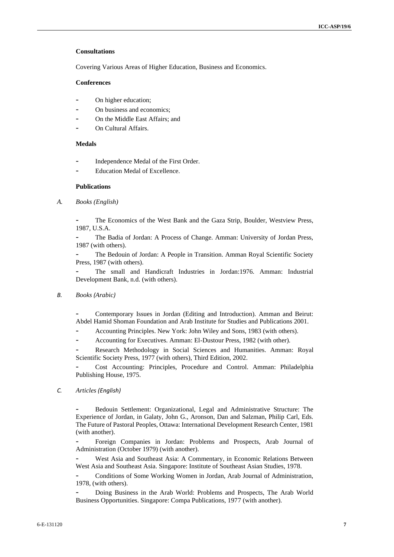#### **Consultations**

Covering Various Areas of Higher Education, Business and Economics.

# **Conferences**

- On higher education;
- On business and economics:
- On the Middle East Affairs; and
- On Cultural Affairs.

#### **Medals**

- Independence Medal of the First Order.
- Education Medal of Excellence.

#### **Publications**

*A. Books (English)*

The Economics of the West Bank and the Gaza Strip, Boulder, Westview Press, 1987, U.S.A.

- The Badia of Jordan: A Process of Change. Amman: University of Jordan Press, 1987 (with others).

The Bedouin of Jordan: A People in Transition. Amman Royal Scientific Society Press, 1987 (with others).

The small and Handicraft Industries in Jordan: 1976. Amman: Industrial Development Bank, n.d. (with others).

*B. Books (Arabic)*

- Contemporary Issues in Jordan (Editing and Introduction). Amman and Beirut: Abdel Hamid Shoman Foundation and Arab Institute for Studies and Publications 2001.

Accounting Principles. New York: John Wiley and Sons, 1983 (with others).

Accounting for Executives. Amman: El-Dustour Press, 1982 (with other).

Research Methodology in Social Sciences and Humanities. Amman: Royal Scientific Society Press, 1977 (with others), Third Edition, 2002.

Cost Accounting: Principles, Procedure and Control. Amman: Philadelphia Publishing House, 1975.

*C. Articles (English)*

Bedouin Settlement: Organizational, Legal and Administrative Structure: The Experience of Jordan, in Galaty, John G., Aronson, Dan and Salzman, Philip Carl, Eds. The Future of Pastoral Peoples, Ottawa: International Development Research Center, 1981 (with another).

- Foreign Companies in Jordan: Problems and Prospects, Arab Journal of Administration (October 1979) (with another).

West Asia and Southeast Asia: A Commentary, in Economic Relations Between West Asia and Southeast Asia. Singapore: Institute of Southeast Asian Studies, 1978.

- Conditions of Some Working Women in Jordan, Arab Journal of Administration, 1978, (with others).

- Doing Business in the Arab World: Problems and Prospects, The Arab World Business Opportunities. Singapore: Compa Publications, 1977 (with another).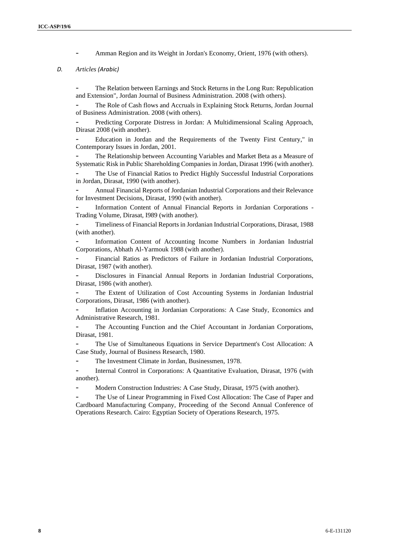Amman Region and its Weight in Jordan's Economy, Orient, 1976 (with others).

# *D. Articles (Arabic)*

The Relation between Earnings and Stock Returns in the Long Run: Republication and Extension", Jordan Journal of Business Administration. 2008 (with others).

The Role of Cash flows and Accruals in Explaining Stock Returns, Jordan Journal of Business Administration. 2008 (with others).

- Predicting Corporate Distress in Jordan: A Multidimensional Scaling Approach, Dirasat 2008 (with another).

- Education in Jordan and the Requirements of the Twenty First Century," in Contemporary Issues in Jordan, 2001.

The Relationship between Accounting Variables and Market Beta as a Measure of Systematic Risk in Public Shareholding Companies in Jordan, Dirasat 1996 (with another).

The Use of Financial Ratios to Predict Highly Successful Industrial Corporations in Jordan, Dirasat, 1990 (with another).

- Annual Financial Reports of Jordanian Industrial Corporations and their Relevance for Investment Decisions, Dirasat, 1990 (with another).

Information Content of Annual Financial Reports in Jordanian Corporations -Trading Volume, Dirasat, I989 (with another).

- Timeliness of Financial Reports in Jordanian Industrial Corporations, Dirasat, 1988 (with another).

Information Content of Accounting Income Numbers in Jordanian Industrial Corporations, Abhath Al-Yarmouk 1988 (with another).

- Financial Ratios as Predictors of Failure in Jordanian Industrial Corporations, Dirasat, 1987 (with another).

- Disclosures in Financial Annual Reports in Jordanian Industrial Corporations, Dirasat, 1986 (with another).

The Extent of Utilization of Cost Accounting Systems in Jordanian Industrial Corporations, Dirasat, 1986 (with another).

- Inflation Accounting in Jordanian Corporations: A Case Study, Economics and Administrative Research, 1981.

The Accounting Function and the Chief Accountant in Jordanian Corporations, Dirasat, 1981.

The Use of Simultaneous Equations in Service Department's Cost Allocation: A Case Study, Journal of Business Research, 1980.

The Investment Climate in Jordan, Businessmen, 1978.

Internal Control in Corporations: A Quantitative Evaluation, Dirasat, 1976 (with another).

Modern Construction Industries: A Case Study, Dirasat, 1975 (with another).

- The Use of Linear Programming in Fixed Cost Allocation: The Case of Paper and Cardboard Manufacturing Company, Proceeding of the Second Annual Conference of Operations Research. Cairo: Egyptian Society of Operations Research, 1975.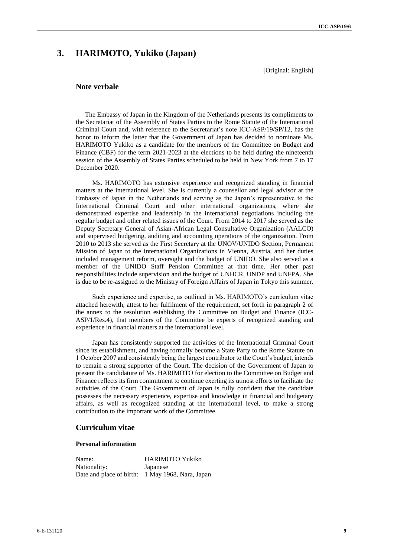# **3. HARIMOTO, Yukiko (Japan)**

[Original: English]

#### **Note verbale**

The Embassy of Japan in the Kingdom of the Netherlands presents its compliments to the Secretariat of the Assembly of States Parties to the Rome Statute of the International Criminal Court and, with reference to the Secretariat's note ICC-ASP/19/SP/12, has the honor to inform the latter that the Government of Japan has decided to nominate Ms. HARIMOTO Yukiko as a candidate for the members of the Committee on Budget and Finance (CBF) for the term 2021-2023 at the elections to be held during the nineteenth session of the Assembly of States Parties scheduled to be held in New York from 7 to 17 December 2020.

Ms. HARIMOTO has extensive experience and recognized standing in financial matters at the international level. She is currently a counsellor and legal advisor at the Embassy of Japan in the Netherlands and serving as the Japan's representative to the International Criminal Court and other international organizations, where she demonstrated expertise and leadership in the international negotiations including the regular budget and other related issues of the Court. From 2014 to 2017 she served as the Deputy Secretary General of Asian-African Legal Consultative Organization (AALCO) and supervised budgeting, auditing and accounting operations of the organization. From 2010 to 2013 she served as the First Secretary at the UNOV/UNIDO Section, Permanent Mission of Japan to the International Organizations in Vienna, Austria, and her duties included management reform, oversight and the budget of UNIDO. She also served as a member of the UNIDO Staff Pension Committee at that time. Her other past responsibilities include supervision and the budget of UNHCR, UNDP and UNFPA. She is due to be re-assigned to the Ministry of Foreign Affairs of Japan in Tokyo this summer.

Such experience and expertise, as outlined in Ms. HARIMOTO's curriculum vitae attached herewith, attest to her fulfilment of the requirement, set forth in paragraph 2 of the annex to the resolution establishing the Committee on Budget and Finance (ICC-ASP/1/Res.4), that members of the Committee be experts of recognized standing and experience in financial matters at the international level.

Japan has consistently supported the activities of the International Criminal Court since its establishment, and having formally become a State Party to the Rome Statute on 1 October 2007 and consistently being the largest contributor to the Court's budget, intends to remain a strong supporter of the Court. The decision of the Government of Japan to present the candidature of Ms. HARIMOTO for election to the Committee on Budget and Finance reflects its firm commitment to continue exerting its utmost efforts to facilitate the activities of the Court. The Government of Japan is fully confident that the candidate possesses the necessary experience, expertise and knowledge in financial and budgetary affairs, as well as recognized standing at the international level, to make a strong contribution to the important work of the Committee.

# **Curriculum vitae**

#### **Personal information**

Name: HARIMOTO Yukiko Nationality: Japanese Date and place of birth: 1 May 1968, Nara, Japan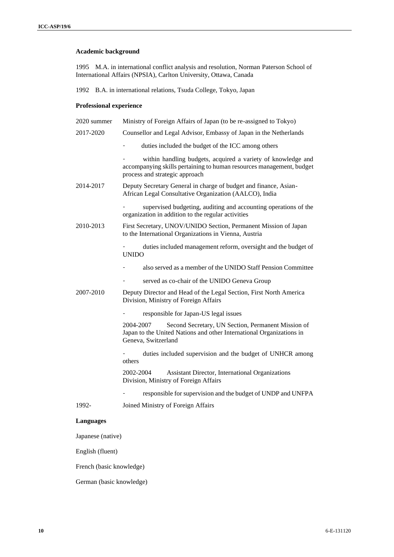# **Academic background**

1995 M.A. in international conflict analysis and resolution, Norman Paterson School of International Affairs (NPSIA), Carlton University, Ottawa, Canada

1992 B.A. in international relations, Tsuda College, Tokyo, Japan

# **Professional experience**

| 2020 summer       | Ministry of Foreign Affairs of Japan (to be re-assigned to Tokyo)                                                                                                      |
|-------------------|------------------------------------------------------------------------------------------------------------------------------------------------------------------------|
| 2017-2020         | Counsellor and Legal Advisor, Embassy of Japan in the Netherlands                                                                                                      |
|                   | duties included the budget of the ICC among others                                                                                                                     |
|                   | within handling budgets, acquired a variety of knowledge and<br>accompanying skills pertaining to human resources management, budget<br>process and strategic approach |
| 2014-2017         | Deputy Secretary General in charge of budget and finance, Asian-<br>African Legal Consultative Organization (AALCO), India                                             |
|                   | supervised budgeting, auditing and accounting operations of the<br>organization in addition to the regular activities                                                  |
| 2010-2013         | First Secretary, UNOV/UNIDO Section, Permanent Mission of Japan<br>to the International Organizations in Vienna, Austria                                               |
|                   | duties included management reform, oversight and the budget of<br><b>UNIDO</b>                                                                                         |
|                   | also served as a member of the UNIDO Staff Pension Committee                                                                                                           |
|                   | served as co-chair of the UNIDO Geneva Group                                                                                                                           |
| 2007-2010         | Deputy Director and Head of the Legal Section, First North America<br>Division, Ministry of Foreign Affairs                                                            |
|                   | responsible for Japan-US legal issues                                                                                                                                  |
|                   | 2004-2007<br>Second Secretary, UN Section, Permanent Mission of<br>Japan to the United Nations and other International Organizations in<br>Geneva, Switzerland         |
|                   | duties included supervision and the budget of UNHCR among<br>others                                                                                                    |
|                   | 2002-2004<br>Assistant Director, International Organizations<br>Division, Ministry of Foreign Affairs                                                                  |
|                   | responsible for supervision and the budget of UNDP and UNFPA                                                                                                           |
| 1992-             | Joined Ministry of Foreign Affairs                                                                                                                                     |
| Languages         |                                                                                                                                                                        |
| Japanese (native) |                                                                                                                                                                        |

English (fluent)

French (basic knowledge)

German (basic knowledge)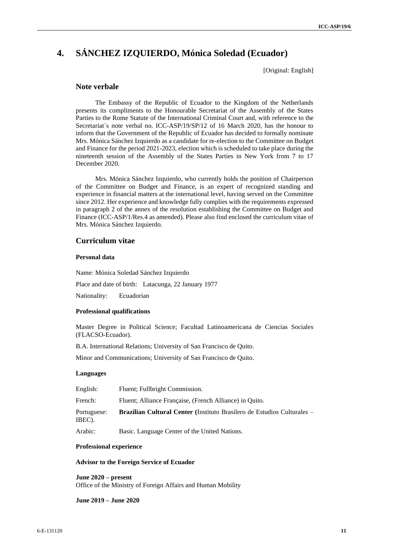# **4. SÁNCHEZ IZQUIERDO, Mónica Soledad (Ecuador)**

[Original: English]

# **Note verbale**

The Embassy of the Republic of Ecuador to the Kingdom of the Netherlands presents its compliments to the Honourable Secretariat of the Assembly of the States Parties to the Rome Statute of the International Criminal Court and, with reference to the Secretariat´s note verbal no. ICC-ASP/19/SP/12 of 16 March 2020, has the honour to inform that the Government of the Republic of Ecuador has decided to formally nominate Mrs. Mónica Sánchez Izquierdo as a candidate for re-election to the Committee on Budget and Finance for the period 2021-2023, election which is scheduled to take place during the nineteenth session of the Assembly of the States Parties in New York from 7 to 17 December 2020.

Mrs. Mónica Sánchez Izquierdo, who currently holds the position of Chairperson of the Committee on Budget and Finance, is an expert of recognized standing and experience in financial matters at the international level, having served on the Committee since 2012. Her experience and knowledge fully complies with the requirements expressed in paragraph 2 of the annex of the resolution establishing the Committee on Budget and Finance (ICC-ASP/1/Res.4 as amended). Please also find enclosed the curriculum vitae of Mrs. Mónica Sánchez Izquierdo.

#### **Curriculum vitae**

#### **Personal data**

Name: Mónica Soledad Sánchez Izquierdo

Place and date of birth: Latacunga, 22 January 1977

Nationality: Ecuadorian

#### **Professional qualifications**

Master Degree in Political Science; Facultad Latinoamericana de Ciencias Sociales (FLACSO-Ecuador).

B.A. International Relations; University of San Francisco de Quito.

Minor and Communications; University of San Francisco de Quito.

#### **Languages**

| English:              | Fluent; Fullbright Commission.                                                 |
|-----------------------|--------------------------------------------------------------------------------|
| French:               | Fluent; Alliance Française, (French Alliance) in Quito.                        |
| Portuguese:<br>IBEC). | <b>Brazilian Cultural Center</b> (Instituto Brasilero de Estudios Culturales – |
| Arabic:               | Basic. Language Center of the United Nations.                                  |

#### **Professional experience**

#### **Advisor to the Foreign Service of Ecuador**

**June 2020 – present** Office of the Ministry of Foreign Affairs and Human Mobility

**June 2019 – June 2020**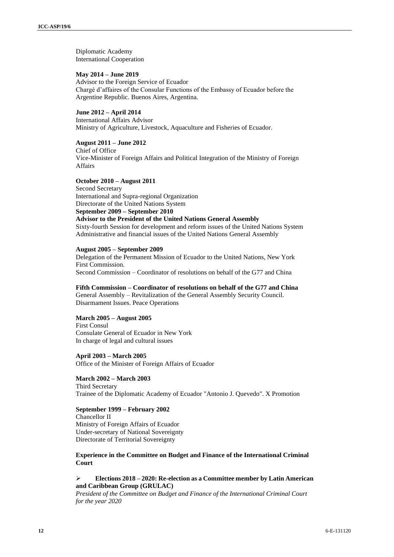Diplomatic Academy International Cooperation

#### **May 2014 – June 2019**

Advisor to the Foreign Service of Ecuador Chargé d'affaires of the Consular Functions of the Embassy of Ecuador before the Argentine Republic. Buenos Aires, Argentina.

# **June 2012 – April 2014**

International Affairs Advisor Ministry of Agriculture, Livestock, Aquaculture and Fisheries of Ecuador.

#### **August 2011 – June 2012**

Chief of Office Vice-Minister of Foreign Affairs and Political Integration of the Ministry of Foreign Affairs

#### **October 2010 – August 2011**

Second Secretary International and Supra-regional Organization Directorate of the United Nations System **September 2009 – September 2010 Advisor to the President of the United Nations General Assembly**  Sixty-fourth Session for development and reform issues of the United Nations System Administrative and financial issues of the United Nations General Assembly

#### **August 2005 – September 2009**

Delegation of the Permanent Mission of Ecuador to the United Nations, New York First Commission. Second Commission – Coordinator of resolutions on behalf of the G77 and China

#### **Fifth Commission – Coordinator of resolutions on behalf of the G77 and China**

General Assembly – Revitalization of the General Assembly Security Council. Disarmament Issues. Peace Operations

# **March 2005 – August 2005**

First Consul Consulate General of Ecuador in New York In charge of legal and cultural issues

**April 2003 – March 2005** Office of the Minister of Foreign Affairs of Ecuador

#### **March 2002 – March 2003**

Third Secretary Trainee of the Diplomatic Academy of Ecuador "Antonio J. Quevedo". X Promotion

#### **September 1999 – February 2002**

Chancellor II Ministry of Foreign Affairs of Ecuador Under-secretary of National Sovereignty Directorate of Territorial Sovereignty

**Experience in the Committee on Budget and Finance of the International Criminal Court**

# ➢ **Elections 2018 – 2020: Re-election as a Committee member by Latin American and Caribbean Group (GRULAC)**

*President of the Committee on Budget and Finance of the International Criminal Court for the year 2020*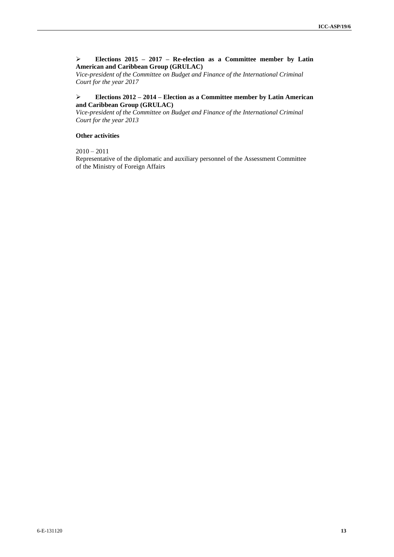### ➢ **Elections 2015 – 2017 – Re-election as a Committee member by Latin American and Caribbean Group (GRULAC)**

*Vice-president of the Committee on Budget and Finance of the International Criminal Court for the year 2017*

# ➢ **Elections 2012 – 2014 – Election as a Committee member by Latin American and Caribbean Group (GRULAC)**

*Vice-president of the Committee on Budget and Finance of the International Criminal Court for the year 2013*

#### **Other activities**

 $2010 - 2011$ 

Representative of the diplomatic and auxiliary personnel of the Assessment Committee of the Ministry of Foreign Affairs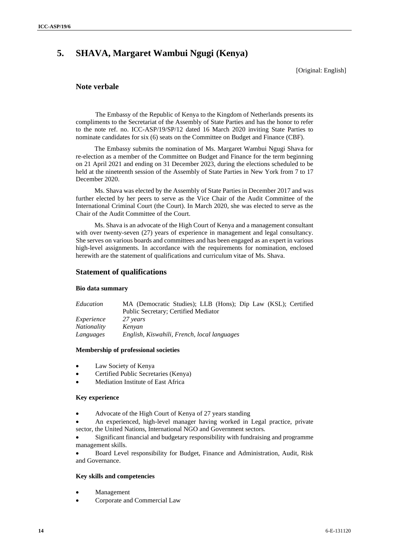# **5. SHAVA, Margaret Wambui Ngugi (Kenya)**

[Original: English]

# **Note verbale**

The Embassy of the Republic of Kenya to the Kingdom of Netherlands presents its compliments to the Secretariat of the Assembly of State Parties and has the honor to refer to the note ref. no. ICC-ASP/19/SP/12 dated 16 March 2020 inviting State Parties to nominate candidates for six (6) seats on the Committee on Budget and Finance (CBF).

The Embassy submits the nomination of Ms. Margaret Wambui Ngugi Shava for re-election as a member of the Committee on Budget and Finance for the term beginning on 21 April 2021 and ending on 31 December 2023, during the elections scheduled to be held at the nineteenth session of the Assembly of State Parties in New York from 7 to 17 December 2020.

Ms. Shava was elected by the Assembly of State Parties in December 2017 and was further elected by her peers to serve as the Vice Chair of the Audit Committee of the International Criminal Court (the Court). In March 2020, she was elected to serve as the Chair of the Audit Committee of the Court.

Ms. Shava is an advocate of the High Court of Kenya and a management consultant with over twenty-seven  $(27)$  years of experience in management and legal consultancy. She serves on various boards and committees and has been engaged as an expert in various high-level assignments. In accordance with the requirements for nomination, enclosed herewith are the statement of qualifications and curriculum vitae of Ms. Shava.

# **Statement of qualifications**

#### **Bio data summary**

| Education          | MA (Democratic Studies); LLB (Hons); Dip Law (KSL); Certified |
|--------------------|---------------------------------------------------------------|
|                    | Public Secretary; Certified Mediator                          |
| Experience         | 27 years                                                      |
| <i>Nationality</i> | Kenvan                                                        |
| Languages          | English, Kiswahili, French, local languages                   |

#### **Membership of professional societies**

- Law Society of Kenya
- Certified Public Secretaries (Kenya)
- Mediation Institute of East Africa

#### **Key experience**

• Advocate of the High Court of Kenya of 27 years standing

• An experienced, high-level manager having worked in Legal practice, private sector, the United Nations, International NGO and Government sectors.

• Significant financial and budgetary responsibility with fundraising and programme management skills.

• Board Level responsibility for Budget, Finance and Administration, Audit, Risk and Governance.

#### **Key skills and competencies**

- **Management**
- Corporate and Commercial Law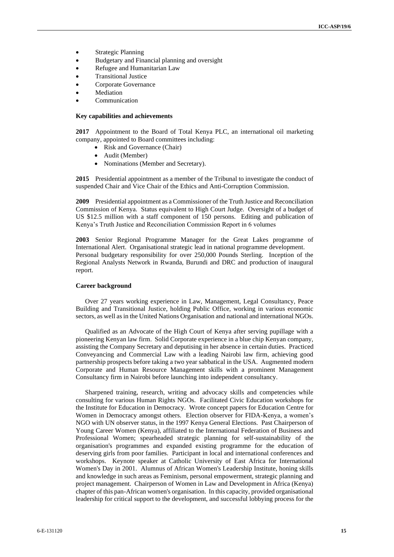- Strategic Planning
- Budgetary and Financial planning and oversight
- Refugee and Humanitarian Law
- Transitional Justice
- Corporate Governance
- **Mediation**
- **Communication**

#### **Key capabilities and achievements**

**2017** Appointment to the Board of Total Kenya PLC, an international oil marketing company, appointed to Board committees including:

- Risk and Governance (Chair)
- Audit (Member)
- Nominations (Member and Secretary).

**2015** Presidential appointment as a member of the Tribunal to investigate the conduct of suspended Chair and Vice Chair of the Ethics and Anti-Corruption Commission.

**2009** Presidential appointment as a Commissioner of the Truth Justice and Reconciliation Commission of Kenya. Status equivalent to High Court Judge. Oversight of a budget of US \$12.5 million with a staff component of 150 persons. Editing and publication of Kenya's Truth Justice and Reconciliation Commission Report in 6 volumes

**2003** Senior Regional Programme Manager for the Great Lakes programme of International Alert. Organisational strategic lead in national programme development. Personal budgetary responsibility for over 250,000 Pounds Sterling. Inception of the Regional Analysts Network in Rwanda, Burundi and DRC and production of inaugural report.

#### **Career background**

Over 27 years working experience in Law, Management, Legal Consultancy, Peace Building and Transitional Justice, holding Public Office, working in various economic sectors, as well as in the United Nations Organisation and national and international NGOs.

Qualified as an Advocate of the High Court of Kenya after serving pupillage with a pioneering Kenyan law firm. Solid Corporate experience in a blue chip Kenyan company, assisting the Company Secretary and deputising in her absence in certain duties. Practiced Conveyancing and Commercial Law with a leading Nairobi law firm, achieving good partnership prospects before taking a two year sabbatical in the USA. Augmented modern Corporate and Human Resource Management skills with a prominent Management Consultancy firm in Nairobi before launching into independent consultancy.

Sharpened training, research, writing and advocacy skills and competencies while consulting for various Human Rights NGOs. Facilitated Civic Education workshops for the Institute for Education in Democracy. Wrote concept papers for Education Centre for Women in Democracy amongst others. Election observer for FIDA-Kenya, a women's NGO with UN observer status, in the 1997 Kenya General Elections. Past Chairperson of Young Career Women (Kenya), affiliated to the International Federation of Business and Professional Women; spearheaded strategic planning for self-sustainability of the organisation's programmes and expanded existing programme for the education of deserving girls from poor families. Participant in local and international conferences and workshops. Keynote speaker at Catholic University of East Africa for International Women's Day in 2001. Alumnus of African Women's Leadership Institute, honing skills and knowledge in such areas as Feminism, personal empowerment, strategic planning and project management. Chairperson of Women in Law and Development in Africa (Kenya) chapter of this pan-African women's organisation. In this capacity, provided organisational leadership for critical support to the development, and successful lobbying process for the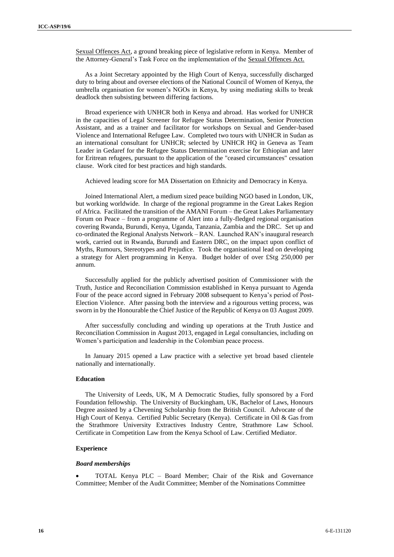Sexual Offences Act, a ground breaking piece of legislative reform in Kenya. Member of the Attorney-General's Task Force on the implementation of the Sexual Offences Act.

As a Joint Secretary appointed by the High Court of Kenya, successfully discharged duty to bring about and oversee elections of the National Council of Women of Kenya, the umbrella organisation for women's NGOs in Kenya, by using mediating skills to break deadlock then subsisting between differing factions.

Broad experience with UNHCR both in Kenya and abroad. Has worked for UNHCR in the capacities of Legal Screener for Refugee Status Determination, Senior Protection Assistant, and as a trainer and facilitator for workshops on Sexual and Gender-based Violence and International Refugee Law. Completed two tours with UNHCR in Sudan as an international consultant for UNHCR; selected by UNHCR HQ in Geneva as Team Leader in Gedaref for the Refugee Status Determination exercise for Ethiopian and later for Eritrean refugees, pursuant to the application of the "ceased circumstances" cessation clause. Work cited for best practices and high standards.

Achieved leading score for MA Dissertation on Ethnicity and Democracy in Kenya.

Joined International Alert, a medium sized peace building NGO based in London, UK, but working worldwide. In charge of the regional programme in the Great Lakes Region of Africa. Facilitated the transition of the AMANI Forum – the Great Lakes Parliamentary Forum on Peace – from a programme of Alert into a fully-fledged regional organisation covering Rwanda, Burundi, Kenya, Uganda, Tanzania, Zambia and the DRC. Set up and co-ordinated the Regional Analysts Network – RAN. Launched RAN's inaugural research work, carried out in Rwanda, Burundi and Eastern DRC, on the impact upon conflict of Myths, Rumours, Stereotypes and Prejudice. Took the organisational lead on developing a strategy for Alert programming in Kenya. Budget holder of over £Stg 250,000 per annum.

Successfully applied for the publicly advertised position of Commissioner with the Truth, Justice and Reconciliation Commission established in Kenya pursuant to Agenda Four of the peace accord signed in February 2008 subsequent to Kenya's period of Post-Election Violence. After passing both the interview and a rigourous vetting process, was sworn in by the Honourable the Chief Justice of the Republic of Kenya on 03 August 2009.

After successfully concluding and winding up operations at the Truth Justice and Reconciliation Commission in August 2013, engaged in Legal consultancies, including on Women's participation and leadership in the Colombian peace process.

In January 2015 opened a Law practice with a selective yet broad based clientele nationally and internationally.

#### **Education**

The University of Leeds, UK, M A Democratic Studies, fully sponsored by a Ford Foundation fellowship. The University of Buckingham, UK, Bachelor of Laws, Honours Degree assisted by a Chevening Scholarship from the British Council. Advocate of the High Court of Kenya. Certified Public Secretary (Kenya). Certificate in Oil & Gas from the Strathmore University Extractives Industry Centre, Strathmore Law School. Certificate in Competition Law from the Kenya School of Law. Certified Mediator.

#### **Experience**

#### *Board memberships*

• TOTAL Kenya PLC – Board Member; Chair of the Risk and Governance Committee; Member of the Audit Committee; Member of the Nominations Committee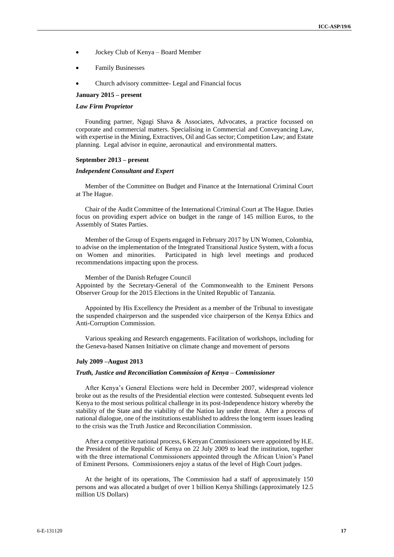- Jockey Club of Kenya Board Member
- Family Businesses
- Church advisory committee- Legal and Financial focus

# **January 2015 – present**

#### *Law Firm Proprietor*

Founding partner, Ngugi Shava & Associates, Advocates, a practice focussed on corporate and commercial matters. Specialising in Commercial and Conveyancing Law, with expertise in the Mining, Extractives, Oil and Gas sector; Competition Law; and Estate planning. Legal advisor in equine, aeronautical and environmental matters.

#### **September 2013 – present**

#### *Independent Consultant and Expert*

Member of the Committee on Budget and Finance at the International Criminal Court at The Hague.

Chair of the Audit Committee of the International Criminal Court at The Hague. Duties focus on providing expert advice on budget in the range of 145 million Euros, to the Assembly of States Parties.

Member of the Group of Experts engaged in February 2017 by UN Women, Colombia, to advise on the implementation of the Integrated Transitional Justice System, with a focus on Women and minorities. Participated in high level meetings and produced recommendations impacting upon the process.

Member of the Danish Refugee Council

Appointed by the Secretary-General of the Commonwealth to the Eminent Persons Observer Group for the 2015 Elections in the United Republic of Tanzania.

Appointed by His Excellency the President as a member of the Tribunal to investigate the suspended chairperson and the suspended vice chairperson of the Kenya Ethics and Anti-Corruption Commission.

Various speaking and Research engagements. Facilitation of workshops, including for the Geneva-based Nansen Initiative on climate change and movement of persons

#### **July 2009 –August 2013**

#### *Truth, Justice and Reconciliation Commission of Kenya – Commissioner*

After Kenya's General Elections were held in December 2007, widespread violence broke out as the results of the Presidential election were contested. Subsequent events led Kenya to the most serious political challenge in its post-Independence history whereby the stability of the State and the viability of the Nation lay under threat. After a process of national dialogue, one of the institutions established to address the long term issues leading to the crisis was the Truth Justice and Reconciliation Commission.

After a competitive national process, 6 Kenyan Commissioners were appointed by H.E. the President of the Republic of Kenya on 22 July 2009 to lead the institution, together with the three international Commissioners appointed through the African Union's Panel of Eminent Persons. Commissioners enjoy a status of the level of High Court judges.

At the height of its operations, The Commission had a staff of approximately 150 persons and was allocated a budget of over 1 billion Kenya Shillings (approximately 12.5 million US Dollars)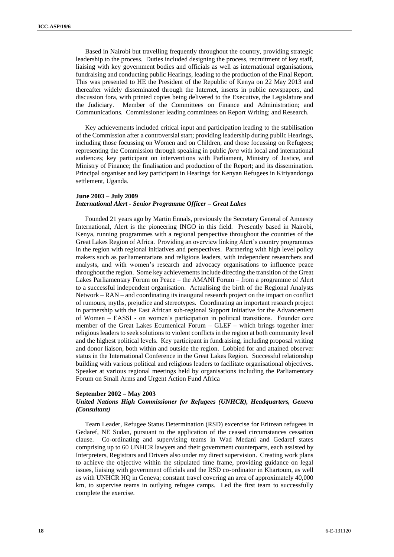Based in Nairobi but travelling frequently throughout the country, providing strategic leadership to the process. Duties included designing the process, recruitment of key staff, liaising with key government bodies and officials as well as international organisations, fundraising and conducting public Hearings, leading to the production of the Final Report. This was presented to HE the President of the Republic of Kenya on 22 May 2013 and thereafter widely disseminated through the Internet, inserts in public newspapers, and discussion fora, with printed copies being delivered to the Executive, the Legislature and the Judiciary. Member of the Committees on Finance and Administration; and Communications. Commissioner leading committees on Report Writing; and Research.

Key achievements included critical input and participation leading to the stabilisation of the Commission after a controversial start; providing leadership during public Hearings, including those focussing on Women and on Children, and those focussing on Refugees; representing the Commission through speaking in public *fora* with local and international audiences; key participant on interventions with Parliament, Ministry of Justice, and Ministry of Finance; the finalisation and production of the Report; and its dissemination. Principal organiser and key participant in Hearings for Kenyan Refugees in Kiriyandongo settlement, Uganda.

# **June 2003 – July 2009**

#### *International Alert - Senior Programme Officer – Great Lakes*

Founded 21 years ago by Martin Ennals, previously the Secretary General of Amnesty International, Alert is the pioneering INGO in this field. Presently based in Nairobi, Kenya, running programmes with a regional perspective throughout the countries of the Great Lakes Region of Africa. Providing an overview linking Alert's country programmes in the region with regional initiatives and perspectives. Partnering with high level policy makers such as parliamentarians and religious leaders, with independent researchers and analysts, and with women's research and advocacy organisations to influence peace throughout the region. Some key achievements include directing the transition of the Great Lakes Parliamentary Forum on Peace – the AMANI Forum – from a programme of Alert to a successful independent organisation. Actualising the birth of the Regional Analysts Network – RAN – and coordinating its inaugural research project on the impact on conflict of rumours, myths, prejudice and stereotypes. Coordinating an important research project in partnership with the East African sub-regional Support Initiative for the Advancement of Women – EASSI - on women's participation in political transitions. Founder core member of the Great Lakes Ecumenical Forum – GLEF – which brings together inter religious leaders to seek solutions to violent conflicts in the region at both community level and the highest political levels. Key participant in fundraising, including proposal writing and donor liaison, both within and outside the region. Lobbied for and attained observer status in the International Conference in the Great Lakes Region. Successful relationship building with various political and religious leaders to facilitate organisational objectives. Speaker at various regional meetings held by organisations including the Parliamentary Forum on Small Arms and Urgent Action Fund Africa

# **September 2002 – May 2003**

# *United Nations High Commissioner for Refugees (UNHCR), Headquarters, Geneva (Consultant)*

Team Leader, Refugee Status Determination (RSD) excercise for Eritrean refugees in Gedaref, NE Sudan, pursuant to the application of the ceased circumstances cessation clause. Co-ordinating and supervising teams in Wad Medani and Gedaref states comprising up to 60 UNHCR lawyers and their government counterparts, each assisted by Interpreters, Registrars and Drivers also under my direct supervision. Creating work plans to achieve the objective within the stipulated time frame, providing guidance on legal issues, liaising with government officials and the RSD co-ordinator in Khartoum, as well as with UNHCR HQ in Geneva; constant travel covering an area of approximately 40,000 km, to supervise teams in outlying refugee camps. Led the first team to successfully complete the exercise.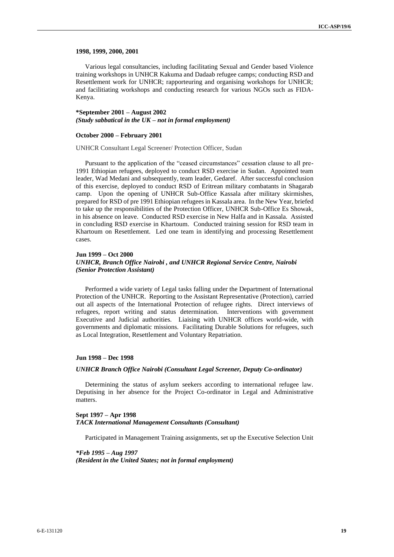#### **1998, 1999, 2000, 2001**

Various legal consultancies, including facilitating Sexual and Gender based Violence training workshops in UNHCR Kakuma and Dadaab refugee camps; conducting RSD and Resettlement work for UNHCR; rapporteuring and organising workshops for UNHCR; and facilitiating workshops and conducting research for various NGOs such as FIDA-Kenya.

#### **\*September 2001 – August 2002** *(Study sabbatical in the UK – not in formal employment)*

#### **October 2000 – February 2001**

UNHCR Consultant Legal Screener/ Protection Officer, Sudan

Pursuant to the application of the "ceased circumstances" cessation clause to all pre-1991 Ethiopian refugees, deployed to conduct RSD exercise in Sudan. Appointed team leader, Wad Medani and subsequently, team leader, Gedaref. After successful conclusion of this exercise, deployed to conduct RSD of Eritrean military combatants in Shagarab camp. Upon the opening of UNHCR Sub-Office Kassala after military skirmishes, prepared for RSD of pre 1991 Ethiopian refugees in Kassala area. In the New Year, briefed to take up the responsibilities of the Protection Officer, UNHCR Sub-Office Es Showak, in his absence on leave. Conducted RSD exercise in New Halfa and in Kassala. Assisted in concluding RSD exercise in Khartoum. Conducted training session for RSD team in Khartoum on Resettlement. Led one team in identifying and processing Resettlement cases.

#### **Jun 1999 – Oct 2000**

#### *UNHCR, Branch Office Nairobi , and UNHCR Regional Service Centre, Nairobi (Senior Protection Assistant)*

Performed a wide variety of Legal tasks falling under the Department of International Protection of the UNHCR. Reporting to the Assistant Representative (Protection), carried out all aspects of the International Protection of refugee rights. Direct interviews of refugees, report writing and status determination. Interventions with government Executive and Judicial authorities. Liaising with UNHCR offices world-wide, with governments and diplomatic missions. Facilitating Durable Solutions for refugees, such as Local Integration, Resettlement and Voluntary Repatriation.

#### **Jun 1998 – Dec 1998**

#### *UNHCR Branch Office Nairobi (Consultant Legal Screener, Deputy Co-ordinator)*

Determining the status of asylum seekers according to international refugee law. Deputising in her absence for the Project Co-ordinator in Legal and Administrative matters.

#### **Sept 1997 – Apr 1998** *TACK International Management Consultants (Consultant)*

Participated in Management Training assignments, set up the Executive Selection Unit

*\*Feb 1995 – Aug 1997 (Resident in the United States; not in formal employment)*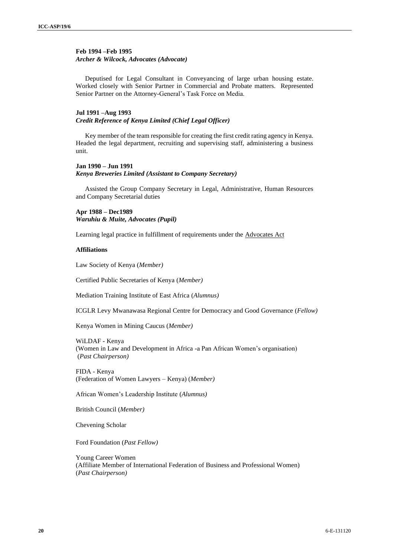# **Feb 1994 –Feb 1995** *Archer & Wilcock, Advocates (Advocate)*

Deputised for Legal Consultant in Conveyancing of large urban housing estate. Worked closely with Senior Partner in Commercial and Probate matters. Represented Senior Partner on the Attorney-General's Task Force on Media.

# **Jul 1991 –Aug 1993**

#### *Credit Reference of Kenya Limited (Chief Legal Officer)*

Key member of the team responsible for creating the first credit rating agency in Kenya. Headed the legal department, recruiting and supervising staff, administering a business unit.

# **Jan 1990 – Jun 1991** *Kenya Breweries Limited (Assistant to Company Secretary)*

Assisted the Group Company Secretary in Legal, Administrative, Human Resources and Company Secretarial duties

**Apr 1988 – Dec1989** *Waruhiu & Muite, Advocates (Pupil)*

Learning legal practice in fulfillment of requirements under the Advocates Act

#### **Affiliations**

Law Society of Kenya (*Member)*

Certified Public Secretaries of Kenya (*Member)*

Mediation Training Institute of East Africa (*Alumnus)*

ICGLR Levy Mwanawasa Regional Centre for Democracy and Good Governance (*Fellow)*

Kenya Women in Mining Caucus (*Member)*

WiLDAF - Kenya (Women in Law and Development in Africa -a Pan African Women's organisation) (*Past Chairperson)*

FIDA - Kenya (Federation of Women Lawyers – Kenya) (*Member)*

African Women's Leadership Institute (*Alumnus)*

British Council (*Member)*

Chevening Scholar

Ford Foundation (*Past Fellow)*

Young Career Women (Affiliate Member of International Federation of Business and Professional Women) (*Past Chairperson)*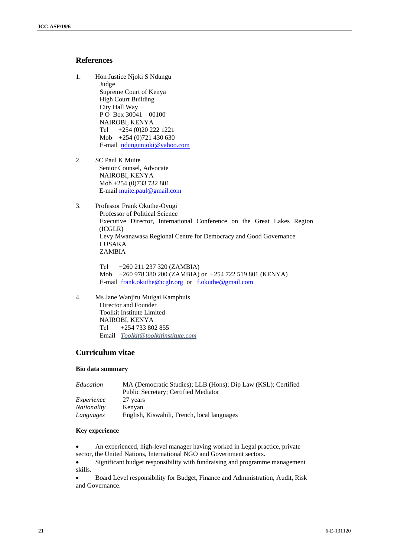# **References**

- 1. Hon Justice Njoki S Ndungu Judge Supreme Court of Kenya High Court Building City Hall Way P O Box 30041 – 00100 NAIROBI, KENYA Tel +254 (0)20 222 1221 Mob +254 (0)721 430 630 E-mail [ndungunjoki@yahoo.com](about:blank)
- 2. SC Paul K Muite Senior Counsel, Advocate NAIROBI, KENYA Mob +254 (0)733 732 801 E-mail [muite.paul@gmail.com](about:blank)
- 3. Professor Frank Okuthe-Oyugi Professor of Political Science Executive Director, International Conference on the Great Lakes Region (ICGLR) Levy Mwanawasa Regional Centre for Democracy and Good Governance LUSAKA ZAMBIA

Tel +260 211 237 320 (ZAMBIA) Mob +260 978 380 200 (ZAMBIA) or +254 722 519 801 (KENYA) E-mail [frank.okuthe@icglr.org](about:blank) or [f.okuthe@gmail.com](about:blank)

4. Ms Jane Wanjiru Muigai Kamphuis Director and Founder Toolkit Institute Limited NAIROBI, KENYA Tel +254 733 802 855 Email *Toolkit@toolkitinstitute.com*

# **Curriculum vitae**

# **Bio data summary**

| Education          | MA (Democratic Studies); LLB (Hons); Dip Law (KSL); Certified |
|--------------------|---------------------------------------------------------------|
|                    | Public Secretary; Certified Mediator                          |
| Experience         | 27 years                                                      |
| <i>Nationality</i> | Kenyan                                                        |
| Languages          | English, Kiswahili, French, local languages                   |

# **Key experience**

• An experienced, high-level manager having worked in Legal practice, private sector, the United Nations, International NGO and Government sectors.

• Significant budget responsibility with fundraising and programme management skills.

• Board Level responsibility for Budget, Finance and Administration, Audit, Risk and Governance.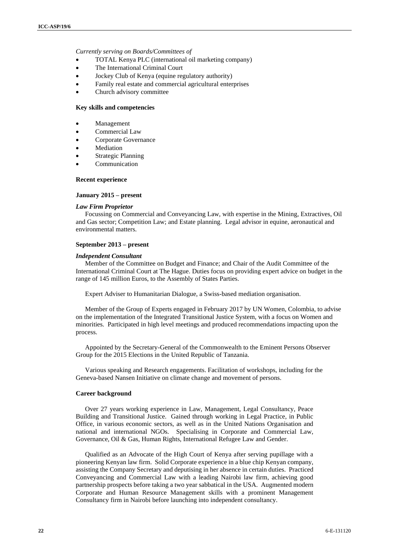#### *Currently serving on Boards/Committees of*

- TOTAL Kenya PLC (international oil marketing company)
- The International Criminal Court
- Jockey Club of Kenya (equine regulatory authority)
- Family real estate and commercial agricultural enterprises
- Church advisory committee

#### **Key skills and competencies**

- **Management**
- Commercial Law
- Corporate Governance
- **Mediation**
- Strategic Planning
- **Communication**

#### **Recent experience**

#### **January 2015 – present**

#### *Law Firm Proprietor*

Focussing on Commercial and Conveyancing Law, with expertise in the Mining, Extractives, Oil and Gas sector; Competition Law; and Estate planning. Legal advisor in equine, aeronautical and environmental matters.

#### **September 2013 – present**

## *Independent Consultant*

Member of the Committee on Budget and Finance; and Chair of the Audit Committee of the International Criminal Court at The Hague. Duties focus on providing expert advice on budget in the range of 145 million Euros, to the Assembly of States Parties.

Expert Adviser to Humanitarian Dialogue, a Swiss-based mediation organisation.

Member of the Group of Experts engaged in February 2017 by UN Women, Colombia, to advise on the implementation of the Integrated Transitional Justice System, with a focus on Women and minorities. Participated in high level meetings and produced recommendations impacting upon the process.

Appointed by the Secretary-General of the Commonwealth to the Eminent Persons Observer Group for the 2015 Elections in the United Republic of Tanzania.

Various speaking and Research engagements. Facilitation of workshops, including for the Geneva-based Nansen Initiative on climate change and movement of persons.

#### **Career background**

Over 27 years working experience in Law, Management, Legal Consultancy, Peace Building and Transitional Justice. Gained through working in Legal Practice, in Public Office, in various economic sectors, as well as in the United Nations Organisation and national and international NGOs. Specialising in Corporate and Commercial Law, Governance, Oil & Gas, Human Rights, International Refugee Law and Gender.

Qualified as an Advocate of the High Court of Kenya after serving pupillage with a pioneering Kenyan law firm. Solid Corporate experience in a blue chip Kenyan company, assisting the Company Secretary and deputising in her absence in certain duties. Practiced Conveyancing and Commercial Law with a leading Nairobi law firm, achieving good partnership prospects before taking a two year sabbatical in the USA. Augmented modern Corporate and Human Resource Management skills with a prominent Management Consultancy firm in Nairobi before launching into independent consultancy.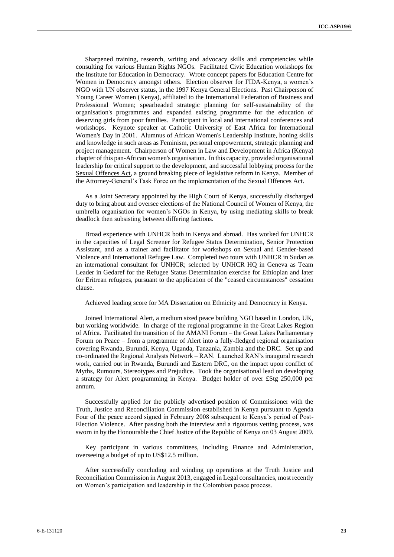Sharpened training, research, writing and advocacy skills and competencies while consulting for various Human Rights NGOs. Facilitated Civic Education workshops for the Institute for Education in Democracy. Wrote concept papers for Education Centre for Women in Democracy amongst others. Election observer for FIDA-Kenya, a women's NGO with UN observer status, in the 1997 Kenya General Elections. Past Chairperson of Young Career Women (Kenya), affiliated to the International Federation of Business and Professional Women; spearheaded strategic planning for self-sustainability of the organisation's programmes and expanded existing programme for the education of deserving girls from poor families. Participant in local and international conferences and workshops. Keynote speaker at Catholic University of East Africa for International Women's Day in 2001. Alumnus of African Women's Leadership Institute, honing skills and knowledge in such areas as Feminism, personal empowerment, strategic planning and project management. Chairperson of Women in Law and Development in Africa (Kenya) chapter of this pan-African women's organisation. In this capacity, provided organisational leadership for critical support to the development, and successful lobbying process for the Sexual Offences Act, a ground breaking piece of legislative reform in Kenya. Member of the Attorney-General's Task Force on the implementation of the Sexual Offences Act.

As a Joint Secretary appointed by the High Court of Kenya, successfully discharged duty to bring about and oversee elections of the National Council of Women of Kenya, the umbrella organisation for women's NGOs in Kenya, by using mediating skills to break deadlock then subsisting between differing factions.

Broad experience with UNHCR both in Kenya and abroad. Has worked for UNHCR in the capacities of Legal Screener for Refugee Status Determination, Senior Protection Assistant, and as a trainer and facilitator for workshops on Sexual and Gender-based Violence and International Refugee Law. Completed two tours with UNHCR in Sudan as an international consultant for UNHCR; selected by UNHCR HQ in Geneva as Team Leader in Gedaref for the Refugee Status Determination exercise for Ethiopian and later for Eritrean refugees, pursuant to the application of the "ceased circumstances" cessation clause.

Achieved leading score for MA Dissertation on Ethnicity and Democracy in Kenya.

Joined International Alert, a medium sized peace building NGO based in London, UK, but working worldwide. In charge of the regional programme in the Great Lakes Region of Africa. Facilitated the transition of the AMANI Forum – the Great Lakes Parliamentary Forum on Peace – from a programme of Alert into a fully-fledged regional organisation covering Rwanda, Burundi, Kenya, Uganda, Tanzania, Zambia and the DRC. Set up and co-ordinated the Regional Analysts Network – RAN. Launched RAN's inaugural research work, carried out in Rwanda, Burundi and Eastern DRC, on the impact upon conflict of Myths, Rumours, Stereotypes and Prejudice. Took the organisational lead on developing a strategy for Alert programming in Kenya. Budget holder of over £Stg 250,000 per annum.

Successfully applied for the publicly advertised position of Commissioner with the Truth, Justice and Reconciliation Commission established in Kenya pursuant to Agenda Four of the peace accord signed in February 2008 subsequent to Kenya's period of Post-Election Violence. After passing both the interview and a rigourous vetting process, was sworn in by the Honourable the Chief Justice of the Republic of Kenya on 03 August 2009.

Key participant in various committees, including Finance and Administration, overseeing a budget of up to US\$12.5 million.

After successfully concluding and winding up operations at the Truth Justice and Reconciliation Commission in August 2013, engaged in Legal consultancies, most recently on Women's participation and leadership in the Colombian peace process.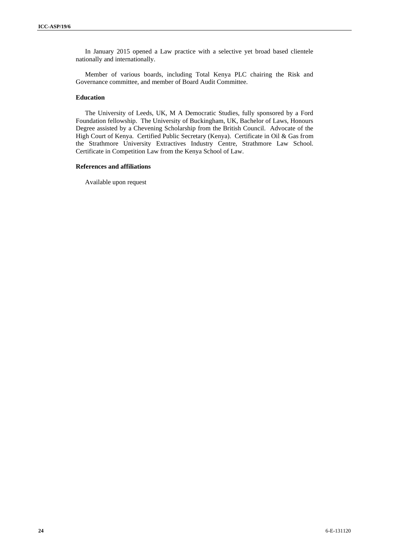In January 2015 opened a Law practice with a selective yet broad based clientele nationally and internationally.

Member of various boards, including Total Kenya PLC chairing the Risk and Governance committee, and member of Board Audit Committee.

# **Education**

The University of Leeds, UK, M A Democratic Studies, fully sponsored by a Ford Foundation fellowship. The University of Buckingham, UK, Bachelor of Laws, Honours Degree assisted by a Chevening Scholarship from the British Council. Advocate of the High Court of Kenya. Certified Public Secretary (Kenya). Certificate in Oil & Gas from the Strathmore University Extractives Industry Centre, Strathmore Law School. Certificate in Competition Law from the Kenya School of Law.

#### **References and affiliations**

Available upon request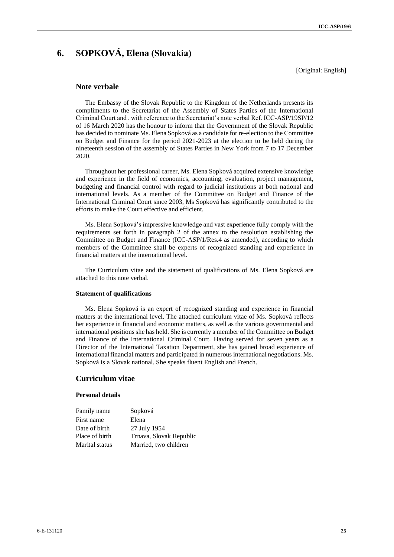# **6. SOPKOVÁ, Elena (Slovakia)**

[Original: English]

#### **Note verbale**

The Embassy of the Slovak Republic to the Kingdom of the Netherlands presents its compliments to the Secretariat of the Assembly of States Parties of the International Criminal Court and , with reference to the Secretariat's note verbal Ref. ICC-ASP/19SP/12 of 16 March 2020 has the honour to inform that the Government of the Slovak Republic has decided to nominate Ms. Elena Sopková as a candidate for re-election to the Committee on Budget and Finance for the period 2021-2023 at the election to be held during the nineteenth session of the assembly of States Parties in New York from 7 to 17 December 2020.

Throughout her professional career, Ms. Elena Sopková acquired extensive knowledge and experience in the field of economics, accounting, evaluation, project management, budgeting and financial control with regard to judicial institutions at both national and international levels. As a member of the Committee on Budget and Finance of the International Criminal Court since 2003, Ms Sopková has significantly contributed to the efforts to make the Court effective and efficient.

Ms. Elena Sopková's impressive knowledge and vast experience fully comply with the requirements set forth in paragraph 2 of the annex to the resolution establishing the Committee on Budget and Finance (ICC-ASP/1/Res.4 as amended), according to which members of the Committee shall be experts of recognized standing and experience in financial matters at the international level.

The Curriculum vitae and the statement of qualifications of Ms. Elena Sopková are attached to this note verbal.

#### **Statement of qualifications**

Ms. Elena Sopková is an expert of recognized standing and experience in financial matters at the international level. The attached curriculum vitae of Ms. Sopková reflects her experience in financial and economic matters, as well as the various governmental and international positionsshe has held. She is currently a member of the Committee on Budget and Finance of the International Criminal Court. Having served for seven years as a Director of the International Taxation Department, she has gained broad experience of internationalfinancial matters and participated in numerous international negotiations. Ms. Sopková is a Slovak national. She speaks fluent English and French.

# **Curriculum vitae**

#### **Personal details**

| Family name    | Sopková                 |
|----------------|-------------------------|
| First name     | Elena                   |
| Date of birth  | 27 July 1954            |
| Place of birth | Trnava, Slovak Republic |
| Marital status | Married, two children   |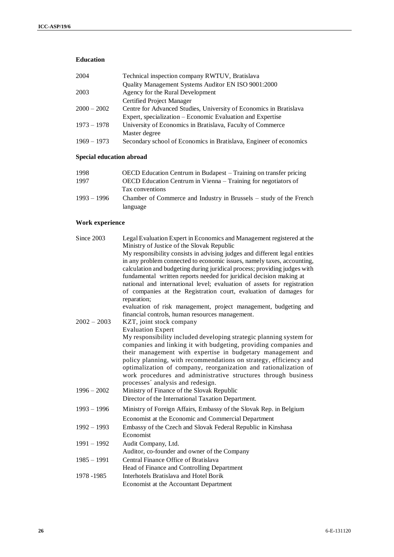# **Education**

| 2004          | Technical inspection company RWTUV, Bratislava                     |
|---------------|--------------------------------------------------------------------|
|               | Quality Management Systems Auditor EN ISO 9001:2000                |
| 2003          | Agency for the Rural Development                                   |
|               | <b>Certified Project Manager</b>                                   |
| $2000 - 2002$ | Centre for Advanced Studies, University of Economics in Bratislava |
|               | Expert, specialization – Economic Evaluation and Expertise         |
| $1973 - 1978$ | University of Economics in Bratislava, Faculty of Commerce         |
|               | Master degree                                                      |
| $1969 - 1973$ | Secondary school of Economics in Bratislava, Engineer of economics |
|               |                                                                    |

# **Special education abroad**

| 1998          | OECD Education Centrum in Budapest – Training on transfer pricing  |
|---------------|--------------------------------------------------------------------|
| 1997          | OECD Education Centrum in Vienna – Training for negotiators of     |
|               | Tax conventions                                                    |
| $1993 - 1996$ | Chamber of Commerce and Industry in Brussels – study of the French |
|               | language                                                           |

# **Work experience**

| Since 2003    | Legal Evaluation Expert in Economics and Management registered at the<br>Ministry of Justice of the Slovak Republic                                                                                                                                                                                                                                                                                                                                                                |
|---------------|------------------------------------------------------------------------------------------------------------------------------------------------------------------------------------------------------------------------------------------------------------------------------------------------------------------------------------------------------------------------------------------------------------------------------------------------------------------------------------|
|               | My responsibility consists in advising judges and different legal entities<br>in any problem connected to economic issues, namely taxes, accounting,<br>calculation and budgeting during juridical process; providing judges with<br>fundamental written reports needed for juridical decision making at<br>national and international level; evaluation of assets for registration<br>of companies at the Registration court, evaluation of damages for<br>reparation;            |
|               | evaluation of risk management, project management, budgeting and                                                                                                                                                                                                                                                                                                                                                                                                                   |
|               | financial controls, human resources management.                                                                                                                                                                                                                                                                                                                                                                                                                                    |
| $2002 - 2003$ | KZT, joint stock company                                                                                                                                                                                                                                                                                                                                                                                                                                                           |
|               | <b>Evaluation Expert</b><br>My responsibility included developing strategic planning system for<br>companies and linking it with budgeting, providing companies and<br>their management with expertise in budgetary management and<br>policy planning, with recommendations on strategy, efficiency and<br>optimalization of company, reorganization and rationalization of<br>work procedures and administrative structures through business<br>processes' analysis and redesign. |
| $1996 - 2002$ | Ministry of Finance of the Slovak Republic<br>Director of the International Taxation Department.                                                                                                                                                                                                                                                                                                                                                                                   |
| $1993 - 1996$ | Ministry of Foreign Affairs, Embassy of the Slovak Rep. in Belgium                                                                                                                                                                                                                                                                                                                                                                                                                 |
|               | Economist at the Economic and Commercial Department                                                                                                                                                                                                                                                                                                                                                                                                                                |
| $1992 - 1993$ | Embassy of the Czech and Slovak Federal Republic in Kinshasa<br>Economist                                                                                                                                                                                                                                                                                                                                                                                                          |
| $1991 - 1992$ | Audit Company, Ltd.<br>Auditor, co-founder and owner of the Company                                                                                                                                                                                                                                                                                                                                                                                                                |
| $1985 - 1991$ | Central Finance Office of Bratislava<br>Head of Finance and Controlling Department                                                                                                                                                                                                                                                                                                                                                                                                 |
| 1978 - 1985   | Interhotels Bratislava and Hotel Borik<br>Economist at the Accountant Department                                                                                                                                                                                                                                                                                                                                                                                                   |